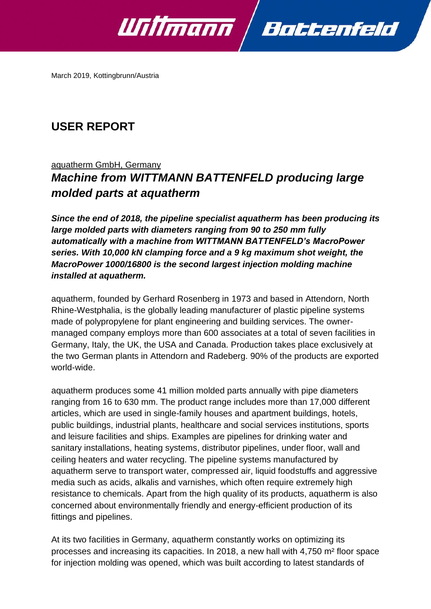

March 2019, Kottingbrunn/Austria

# **USER REPORT**

## aquatherm GmbH, Germany *Machine from WITTMANN BATTENFELD producing large molded parts at aquatherm*

*Since the end of 2018, the pipeline specialist aquatherm has been producing its large molded parts with diameters ranging from 90 to 250 mm fully automatically with a machine from WITTMANN BATTENFELD's MacroPower series. With 10,000 kN clamping force and a 9 kg maximum shot weight, the MacroPower 1000/16800 is the second largest injection molding machine installed at aquatherm.*

aquatherm, founded by Gerhard Rosenberg in 1973 and based in Attendorn, North Rhine-Westphalia, is the globally leading manufacturer of plastic pipeline systems made of polypropylene for plant engineering and building services. The ownermanaged company employs more than 600 associates at a total of seven facilities in Germany, Italy, the UK, the USA and Canada. Production takes place exclusively at the two German plants in Attendorn and Radeberg. 90% of the products are exported world-wide.

aquatherm produces some 41 million molded parts annually with pipe diameters ranging from 16 to 630 mm. The product range includes more than 17,000 different articles, which are used in single-family houses and apartment buildings, hotels, public buildings, industrial plants, healthcare and social services institutions, sports and leisure facilities and ships. Examples are pipelines for drinking water and sanitary installations, heating systems, distributor pipelines, under floor, wall and ceiling heaters and water recycling. The pipeline systems manufactured by aquatherm serve to transport water, compressed air, liquid foodstuffs and aggressive media such as acids, alkalis and varnishes, which often require extremely high resistance to chemicals. Apart from the high quality of its products, aquatherm is also concerned about environmentally friendly and energy-efficient production of its fittings and pipelines.

At its two facilities in Germany, aquatherm constantly works on optimizing its processes and increasing its capacities. In 2018, a new hall with 4,750 m² floor space for injection molding was opened, which was built according to latest standards of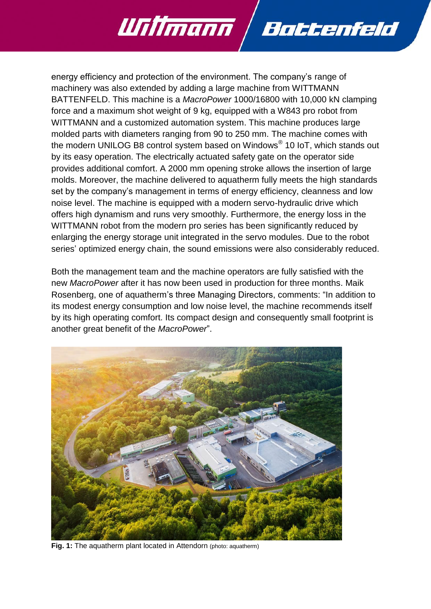

Willmann Battenfeld

Both the management team and the machine operators are fully satisfied with the new *MacroPower* after it has now been used in production for three months. Maik Rosenberg, one of aquatherm's three Managing Directors, comments: "In addition to its modest energy consumption and low noise level, the machine recommends itself by its high operating comfort. Its compact design and consequently small footprint is another great benefit of the *MacroPower*".



**Fig. 1:** The aquatherm plant located in Attendorn (photo: aquatherm)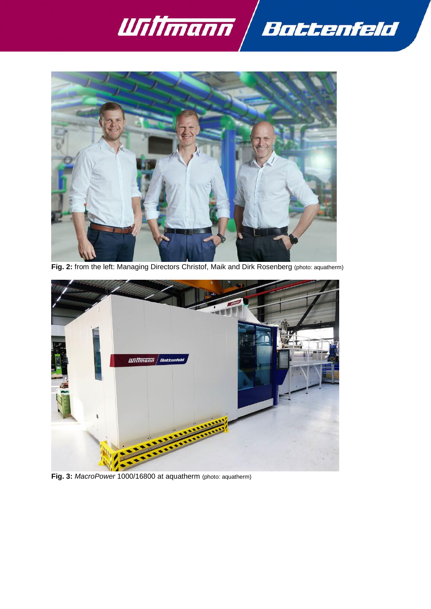



**Fig. 2:** from the left: Managing Directors Christof, Maik and Dirk Rosenberg (photo: aquatherm)



**Fig. 3:** *MacroPower* 1000/16800 at aquatherm (photo: aquatherm)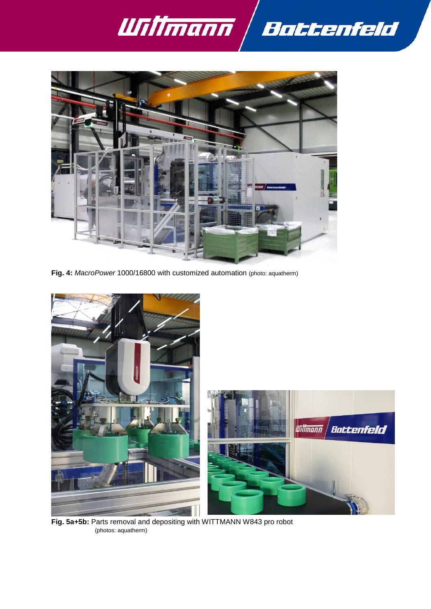



**Fig. 4:** *MacroPower* 1000/16800 with customized automation (photo: aquatherm)



**Fig. 5a+5b:** Parts removal and depositing with WITTMANN W843 pro robot (photos: aquatherm)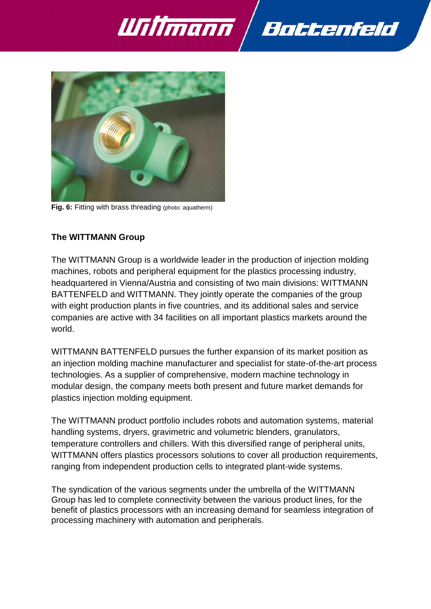

Battenfeld



**Fig. 6:** Fitting with brass threading (photo: aquatherm)

### **The WITTMANN Group**

The WITTMANN Group is a worldwide leader in the production of injection molding machines, robots and peripheral equipment for the plastics processing industry, headquartered in Vienna/Austria and consisting of two main divisions: WITTMANN BATTENFELD and WITTMANN. They jointly operate the companies of the group with eight production plants in five countries, and its additional sales and service companies are active with 34 facilities on all important plastics markets around the world.

WITTMANN BATTENFELD pursues the further expansion of its market position as an injection molding machine manufacturer and specialist for state-of-the-art process technologies. As a supplier of comprehensive, modern machine technology in modular design, the company meets both present and future market demands for plastics injection molding equipment.

The WITTMANN product portfolio includes robots and automation systems, material handling systems, dryers, gravimetric and volumetric blenders, granulators, temperature controllers and chillers. With this diversified range of peripheral units, WITTMANN offers plastics processors solutions to cover all production requirements, ranging from independent production cells to integrated plant-wide systems.

The syndication of the various segments under the umbrella of the WITTMANN Group has led to complete connectivity between the various product lines, for the benefit of plastics processors with an increasing demand for seamless integration of processing machinery with automation and peripherals.